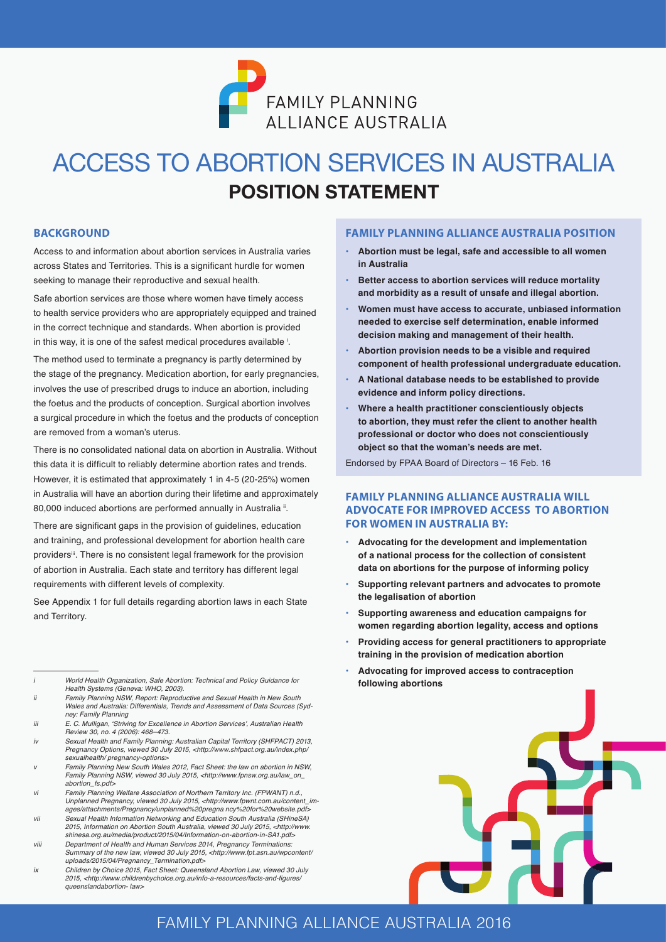

# **POSITION STATEMENT** ACCESS TO ABORTION SERVICES IN AUSTRALIA

#### **BACKGROUND**

Access to and information about abortion services in Australia varies across States and Territories. This is a significant hurdle for women seeking to manage their reproductive and sexual health.

Safe abortion services are those where women have timely access to health service providers who are appropriately equipped and trained in the correct technique and standards. When abortion is provided in this way, it is one of the safest medical procedures available  $^{\textrm{i}}$ .

The method used to terminate a pregnancy is partly determined by the stage of the pregnancy. Medication abortion, for early pregnancies, involves the use of prescribed drugs to induce an abortion, including the foetus and the products of conception. Surgical abortion involves a surgical procedure in which the foetus and the products of conception are removed from a woman's uterus.

There is no consolidated national data on abortion in Australia. Without this data it is difficult to reliably determine abortion rates and trends. However, it is estimated that approximately 1 in 4-5 (20-25%) women in Australia will have an abortion during their lifetime and approximately 80,000 induced abortions are performed annually in Australia  $^{\text{ii}}$ .

There are significant gaps in the provision of guidelines, education and training, and professional development for abortion health care providers<sup>ii</sup>. There is no consistent legal framework for the provision of abortion in Australia. Each state and territory has different legal requirements with different levels of complexity.

See Appendix 1 for full details regarding abortion laws in each State and Territory.

*v Family Planning New South Wales 2012, Fact Sheet: the law on abortion in NSW, Family Planning NSW, viewed 30 July 2015, <http://www.fpnsw.org.au/law\_on\_ abortion\_fs.pdf>*

- *vii Sexual Health Information Networking and Education South Australia (SHineSA) 2015, Information on Abortion South Australia, viewed 30 July 2015, <http://www. shinesa.org.au/media/product/2015/04/Information-on-abortion-in-SA1.pdf>*
- *viii Department of Health and Human Services 2014, Pregnancy Terminations: Summary of the new law, viewed 30 July 2015, <http://www.fpt.asn.au/wpcontent/ uploads/2015/04/Pregnancy\_Termination.pdf>*
- *ix Children by Choice 2015, Fact Sheet: Queensland Abortion Law, viewed 30 July*  2015, <http://www.childrenbychoice.org.au/info-a-resources/facts-and-figures/ *queenslandabortion- law>*

#### **FAMILY PLANNING ALLIANCE AUSTRALIA POSITION**

- **• Abortion must be legal, safe and accessible to all women in Australia**
- **• Better access to abortion services will reduce mortality and morbidity as a result of unsafe and illegal abortion.**
- **• Women must have access to accurate, unbiased information needed to exercise self determination, enable informed decision making and management of their health.**
- **• Abortion provision needs to be a visible and required component of health professional undergraduate education.**
- **• A National database needs to be established to provide evidence and inform policy directions.**
- **• Where a health practitioner conscientiously objects to abortion, they must refer the client to another health professional or doctor who does not conscientiously object so that the woman's needs are met.**

Endorsed by FPAA Board of Directors – 16 Feb. 16

#### **FAMILY PLANNING ALLIANCE AUSTRALIA WILL ADVOCATE FOR IMPROVED ACCESS TO ABORTION FOR WOMEN IN AUSTRALIA BY:**

- **• Advocating for the development and implementation of a national process for the collection of consistent data on abortions for the purpose of informing policy**
- **• Supporting relevant partners and advocates to promote the legalisation of abortion**
- **• Supporting awareness and education campaigns for women regarding abortion legality, access and options**
- **• Providing access for general practitioners to appropriate training in the provision of medication abortion**
- **• Advocating for improved access to contraception following abortions**



### 1 FAMILY PLANNING ALLIANCE AUSTRALIA 2016

*i World Health Organization, Safe Abortion: Technical and Policy Guidance for Health Systems (Geneva: WHO, 2003).*

*ii Family Planning NSW, Report: Reproductive and Sexual Health in New South Wales and Australia: Differentials, Trends and Assessment of Data Sources (Sydney: Family Planning* 

iii E. C. Mulligan, 'Striving for Excellence in Abortion Services', Australian Health *Review 30, no. 4 (2006): 468–473.*

*iv Sexual Health and Family Planning: Australian Capital Territory (SHFPACT) 2013, Pregnancy Options, viewed 30 July 2015, <http://www.shfpact.org.au/index.php/ sexualhealth/ pregnancy-options>*

*vi Family Planning Welfare Association of Northern Territory Inc. (FPWANT) n.d., Unplanned Pregnancy, viewed 30 July 2015, <http://www.fpwnt.com.au/content\_images/attachments/Pregnancy/unplanned%20pregna ncy%20for%20website.pdf>*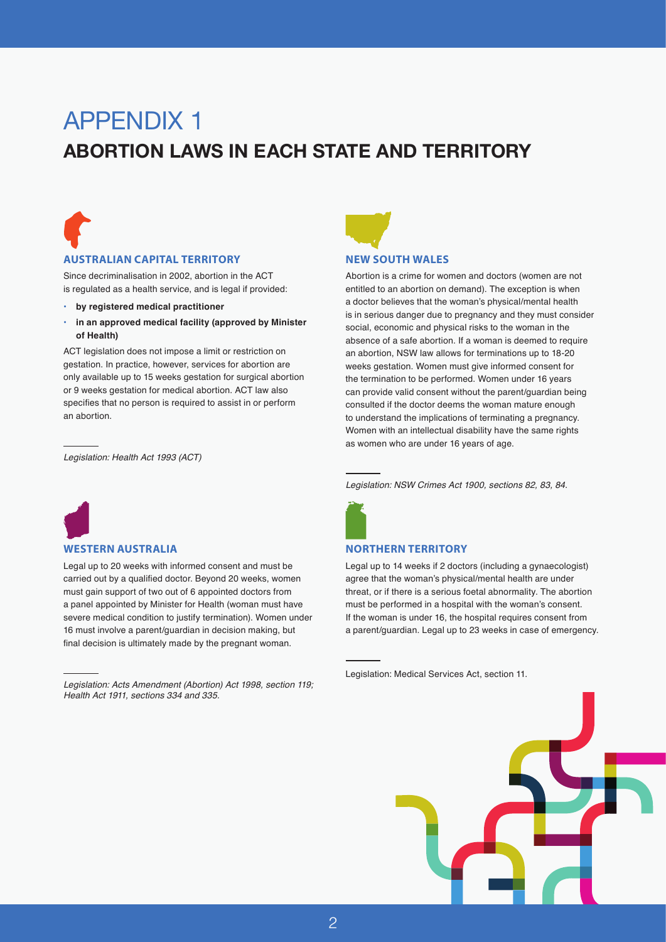# APPENDIX 1

### **ABORTION LAWS IN EACH STATE AND TERRITORY**



#### **AUSTRALIAN CAPITAL TERRITORY**

Since decriminalisation in 2002, abortion in the ACT is regulated as a health service, and is legal if provided:

- **• by registered medical practitioner**
- **• in an approved medical facility (approved by Minister of Health)**

ACT legislation does not impose a limit or restriction on gestation. In practice, however, services for abortion are only available up to 15 weeks gestation for surgical abortion or 9 weeks gestation for medical abortion. ACT law also specifies that no person is required to assist in or perform an abortion.

*Legislation: Health Act 1993 (ACT)*



#### **WESTERN AUSTRALIA**

Legal up to 20 weeks with informed consent and must be carried out by a qualified doctor. Beyond 20 weeks, women must gain support of two out of 6 appointed doctors from a panel appointed by Minister for Health (woman must have severe medical condition to justify termination). Women under 16 must involve a parent/guardian in decision making, but final decision is ultimately made by the pregnant woman.

*Legislation: Acts Amendment (Abortion) Act 1998, section 119; Health Act 1911, sections 334 and 335.*



#### **NEW SOUTH WALES**

Abortion is a crime for women and doctors (women are not entitled to an abortion on demand). The exception is when a doctor believes that the woman's physical/mental health is in serious danger due to pregnancy and they must consider social, economic and physical risks to the woman in the absence of a safe abortion. If a woman is deemed to require an abortion, NSW law allows for terminations up to 18-20 weeks gestation. Women must give informed consent for the termination to be performed. Women under 16 years can provide valid consent without the parent/guardian being consulted if the doctor deems the woman mature enough to understand the implications of terminating a pregnancy. Women with an intellectual disability have the same rights as women who are under 16 years of age.

*Legislation: NSW Crimes Act 1900, sections 82, 83, 84.*



#### **NORTHERN TERRITORY**

Legal up to 14 weeks if 2 doctors (including a gynaecologist) agree that the woman's physical/mental health are under threat, or if there is a serious foetal abnormality. The abortion must be performed in a hospital with the woman's consent. If the woman is under 16, the hospital requires consent from a parent/guardian. Legal up to 23 weeks in case of emergency.

Legislation: Medical Services Act, section 11.

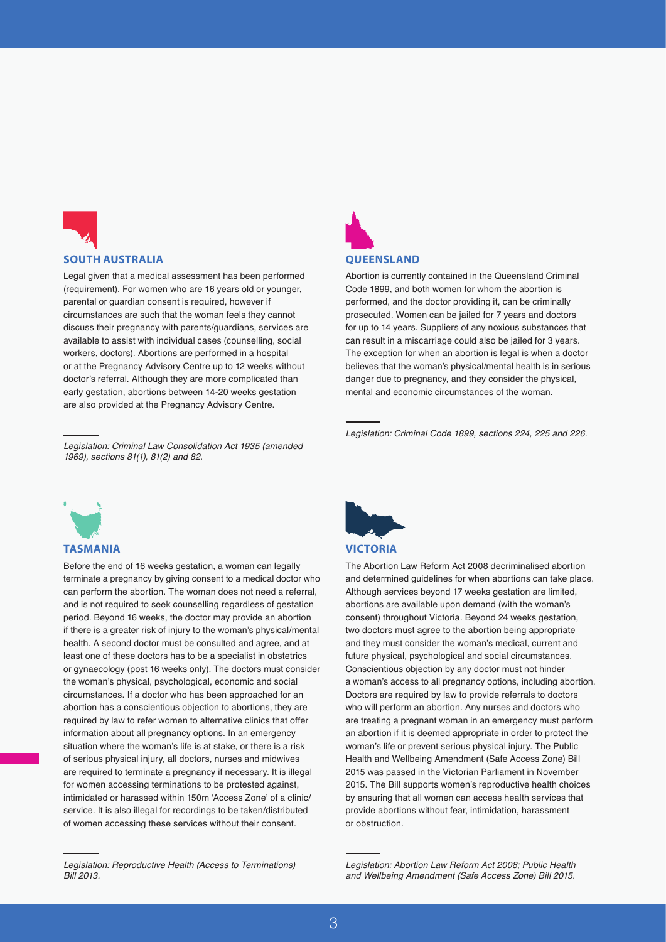

#### **SOUTH AUSTRALIA**

Legal given that a medical assessment has been performed (requirement). For women who are 16 years old or younger, parental or guardian consent is required, however if circumstances are such that the woman feels they cannot discuss their pregnancy with parents/guardians, services are available to assist with individual cases (counselling, social workers, doctors). Abortions are performed in a hospital or at the Pregnancy Advisory Centre up to 12 weeks without doctor's referral. Although they are more complicated than early gestation, abortions between 14-20 weeks gestation are also provided at the Pregnancy Advisory Centre.



#### **QUEENSLAND**

Abortion is currently contained in the Queensland Criminal Code 1899, and both women for whom the abortion is performed, and the doctor providing it, can be criminally prosecuted. Women can be jailed for 7 years and doctors for up to 14 years. Suppliers of any noxious substances that can result in a miscarriage could also be jailed for 3 years. The exception for when an abortion is legal is when a doctor believes that the woman's physical/mental health is in serious danger due to pregnancy, and they consider the physical, mental and economic circumstances of the woman.

*Legislation: Criminal Code 1899, sections 224, 225 and 226.*

*Legislation: Criminal Law Consolidation Act 1935 (amended 1969), sections 81(1), 81(2) and 82.*



#### **TASMANIA**

Before the end of 16 weeks gestation, a woman can legally terminate a pregnancy by giving consent to a medical doctor who can perform the abortion. The woman does not need a referral, and is not required to seek counselling regardless of gestation period. Beyond 16 weeks, the doctor may provide an abortion if there is a greater risk of injury to the woman's physical/mental health. A second doctor must be consulted and agree, and at least one of these doctors has to be a specialist in obstetrics or gynaecology (post 16 weeks only). The doctors must consider the woman's physical, psychological, economic and social circumstances. If a doctor who has been approached for an abortion has a conscientious objection to abortions, they are required by law to refer women to alternative clinics that offer information about all pregnancy options. In an emergency situation where the woman's life is at stake, or there is a risk of serious physical injury, all doctors, nurses and midwives are required to terminate a pregnancy if necessary. It is illegal for women accessing terminations to be protested against, intimidated or harassed within 150m 'Access Zone' of a clinic/ service. It is also illegal for recordings to be taken/distributed of women accessing these services without their consent.



#### **VICTORIA**

The Abortion Law Reform Act 2008 decriminalised abortion and determined guidelines for when abortions can take place. Although services beyond 17 weeks gestation are limited, abortions are available upon demand (with the woman's consent) throughout Victoria. Beyond 24 weeks gestation, two doctors must agree to the abortion being appropriate and they must consider the woman's medical, current and future physical, psychological and social circumstances. Conscientious objection by any doctor must not hinder a woman's access to all pregnancy options, including abortion. Doctors are required by law to provide referrals to doctors who will perform an abortion. Any nurses and doctors who are treating a pregnant woman in an emergency must perform an abortion if it is deemed appropriate in order to protect the woman's life or prevent serious physical injury. The Public Health and Wellbeing Amendment (Safe Access Zone) Bill 2015 was passed in the Victorian Parliament in November 2015. The Bill supports women's reproductive health choices by ensuring that all women can access health services that provide abortions without fear, intimidation, harassment or obstruction.

*Legislation: Reproductive Health (Access to Terminations) Bill 2013.*

*Legislation: Abortion Law Reform Act 2008; Public Health and Wellbeing Amendment (Safe Access Zone) Bill 2015.*